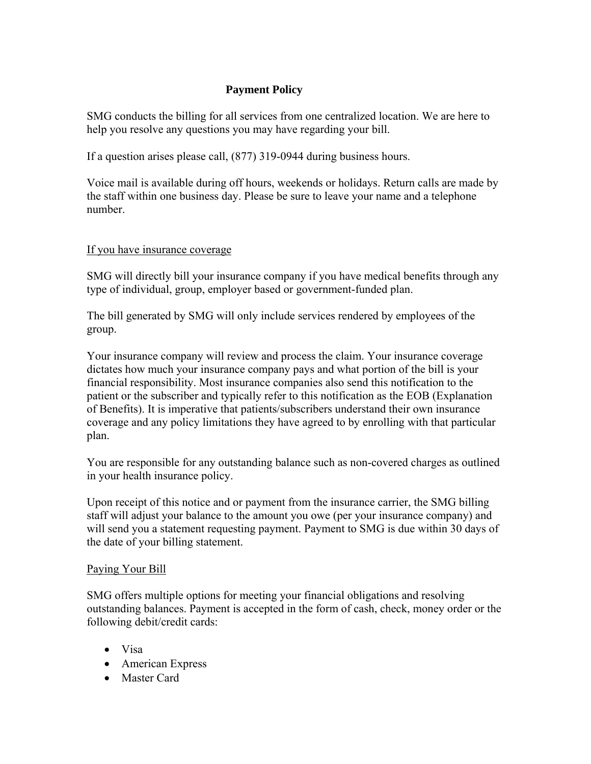## **Payment Policy**

SMG conducts the billing for all services from one centralized location. We are here to help you resolve any questions you may have regarding your bill.

If a question arises please call, (877) 319-0944 during business hours.

Voice mail is available during off hours, weekends or holidays. Return calls are made by the staff within one business day. Please be sure to leave your name and a telephone number.

## If you have insurance coverage

SMG will directly bill your insurance company if you have medical benefits through any type of individual, group, employer based or government-funded plan.

The bill generated by SMG will only include services rendered by employees of the group.

Your insurance company will review and process the claim. Your insurance coverage dictates how much your insurance company pays and what portion of the bill is your financial responsibility. Most insurance companies also send this notification to the patient or the subscriber and typically refer to this notification as the EOB (Explanation of Benefits). It is imperative that patients/subscribers understand their own insurance coverage and any policy limitations they have agreed to by enrolling with that particular plan.

You are responsible for any outstanding balance such as non-covered charges as outlined in your health insurance policy.

Upon receipt of this notice and or payment from the insurance carrier, the SMG billing staff will adjust your balance to the amount you owe (per your insurance company) and will send you a statement requesting payment. Payment to SMG is due within 30 days of the date of your billing statement.

## Paying Your Bill

SMG offers multiple options for meeting your financial obligations and resolving outstanding balances. Payment is accepted in the form of cash, check, money order or the following debit/credit cards:

- Visa
- American Express
- Master Card